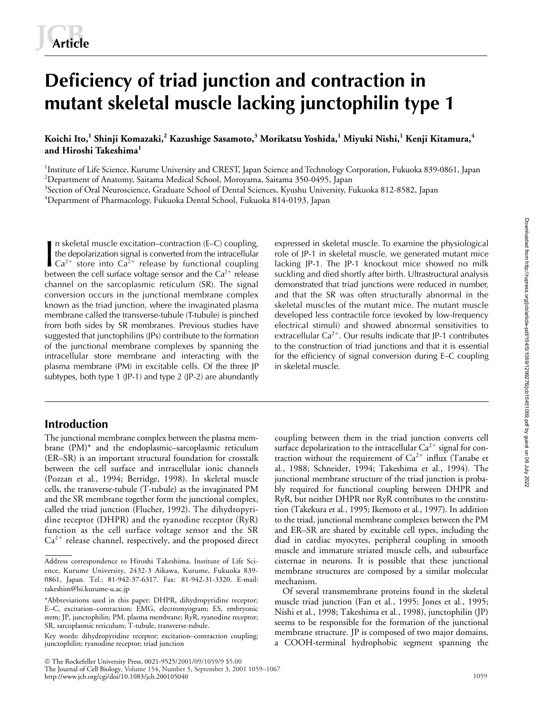# **Deficiency of triad junction and contraction in mutant skeletal muscle lacking junctophilin type 1**

**Koichi Ito,<sup>1</sup> Shinji Komazaki,<sup>2</sup> Kazushige Sasamoto,<sup>3</sup> Morikatsu Yoshida,<sup>1</sup> Miyuki Nishi,<sup>1</sup> Kenji Kitamura,<sup>4</sup> and Hiroshi Takeshima<sup>1</sup>**

<sup>1</sup>Institute of Life Science, Kurume University and CREST, Japan Science and Technology Corporation, Fukuoka 839-0861, Japan 2 Department of Anatomy, Saitama Medical School, Moroyama, Saitama 350-0495, Japan

<sup>3</sup>Section of Oral Neuroscience, Graduate School of Dental Sciences, Kyushu University, Fukuoka 812-8582, Japan

4 Department of Pharmacology, Fukuoka Dental School, Fukuoka 814-0193, Japan

n skeletal muscle excitation–contraction (E–C) coupling, the depolarization signal is converted from the intracellular In skeletal muscle excitation-contraction (E-C) coupling, expressed in skeletal muscle. To examine the physiological<br>
the depolarization signal is converted from the intracellular role of JP-1 in skeletal muscle, we gener between the cell surface voltage sensor and the  $Ca^{2+}$  release channel on the sarcoplasmic reticulum (SR). The signal conversion occurs in the junctional membrane complex known as the triad junction, where the invaginated plasma membrane called the transverse-tubule (T-tubule) is pinched from both sides by SR membranes. Previous studies have suggested that junctophilins (JPs) contribute to the formation of the junctional membrane complexes by spanning the intracellular store membrane and interacting with the plasma membrane (PM) in excitable cells. Of the three JP subtypes, both type 1 (JP-1) and type 2 (JP-2) are abundantly

# **Introduction**

The junctional membrane complex between the plasma membrane (PM)\* and the endoplasmic–sarcoplasmic reticulum (ER–SR) is an important structural foundation for crosstalk between the cell surface and intracellular ionic channels (Pozzan et al*.*, 1994; Berridge, 1998). In skeletal muscle cells, the transverse-tubule (T-tubule) as the invaginated PM and the SR membrane together form the junctional complex, called the triad junction (Flucher, 1992). The dihydropyridine receptor (DHPR) and the ryanodine receptor (RyR) function as the cell surface voltage sensor and the SR  $Ca<sup>2+</sup>$  release channel, respectively, and the proposed direct

role of JP-1 in skeletal muscle, we generated mutant mice lacking JP-1. The JP-1 knockout mice showed no milk suckling and died shortly after birth. Ultrastructural analysis demonstrated that triad junctions were reduced in number, and that the SR was often structurally abnormal in the skeletal muscles of the mutant mice. The mutant muscle developed less contractile force (evoked by low-frequency electrical stimuli) and showed abnormal sensitivities to extracellular  $Ca^{2+}$ . Our results indicate that JP-1 contributes to the construction of triad junctions and that it is essential for the efficiency of signal conversion during E–C coupling in skeletal muscle.

coupling between them in the triad junction converts cell surface depolarization to the intracellular  $\mathrm{Ca^{2+}}$  signal for contraction without the requirement of  $Ca^{2+}$  influx (Tanabe et al*.*, 1988; Schneider, 1994; Takeshima et al*.*, 1994). The junctional membrane structure of the triad junction is probably required for functional coupling between DHPR and RyR, but neither DHPR nor RyR contributes to the constitution (Takekura et al*.*, 1995; Ikemoto et al*.*, 1997). In addition to the triad, junctional membrane complexes between the PM and ER–SR are shared by excitable cell types, including the diad in cardiac myocytes, peripheral coupling in smooth muscle and immature striated muscle cells, and subsurface cisternae in neurons. It is possible that these junctional membrane structures are composed by a similar molecular mechanism.

Of several transmembrane proteins found in the skeletal muscle triad junction (Fan et al*.*, 1995; Jones et al*.*, 1995; Nishi et al*.*, 1998; Takeshima et al*.*, 1998), junctophilin (JP) seems to be responsible for the formation of the junctional membrane structure. JP is composed of two major domains, a COOH-terminal hydrophobic segment spanning the

The Rockefeller University Press, 0021-9525/2001/09/1059/9 \$5.00

The Journal of Cell Biology, Volume 154, Number 5, September 3, 2001 1059–1067 http://www.jcb.org/cgi/doi/10.1083/jcb.200105040

Address correspondence to Hiroshi Takeshima, Institute of Life Science, Kurume University, 2432-3 Aikawa, Kurume, Fukuoka 839- 0861, Japan. Tel.: 81-942-37-6317. Fax: 81-942-31-3320. E-mail: takeshim@lsi.kurume-u.ac.jp

<sup>\*</sup>Abbreviations used in this paper: DHPR, dihydropyridine receptor; E–C, excitation–contraction; EMG, electromyogram; ES, embryonic stem; JP, junctophilin; PM, plasma membrane; RyR, ryanodine receptor; SR, sarcoplasmic reticulum; T-tubule, transverse-tubule.

Key words: dihydropyridine receptor; excitation–contraction coupling; junctophilin; ryanodine receptor; triad junction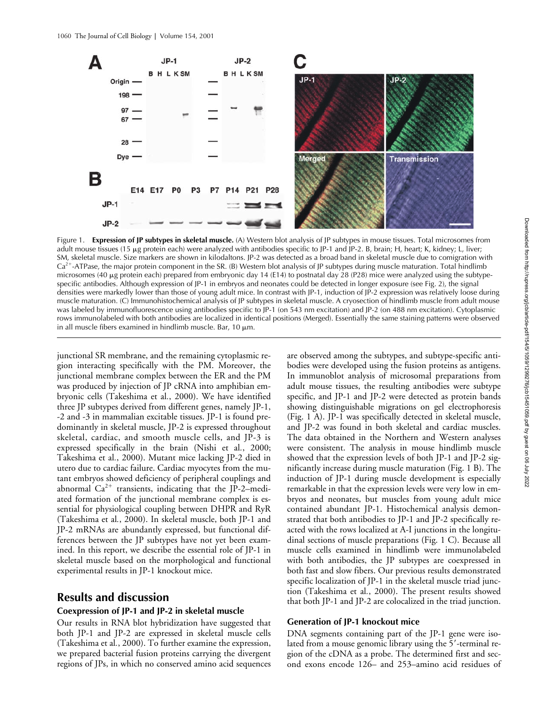

Figure 1. **Expression of JP subtypes in skeletal muscle.** (A) Western blot analysis of JP subtypes in mouse tissues. Total microsomes from adult mouse tissues (15 µg protein each) were analyzed with antibodies specific to JP-1 and JP-2. B, brain; H, heart; K, kidney; L, liver; SM, skeletal muscle. Size markers are shown in kilodaltons. JP-2 was detected as a broad band in skeletal muscle due to comigration with Ca<sup>2+</sup>-ATPase, the major protein component in the SR. (B) Western blot analysis of JP subtypes during muscle maturation. Total hindlimb microsomes (40 µg protein each) prepared from embryonic day 14 (E14) to postnatal day 28 (P28) mice were analyzed using the subtypespecific antibodies. Although expression of JP-1 in embryos and neonates could be detected in longer exposure (see Fig. 2), the signal densities were markedly lower than those of young adult mice. In contrast with JP-1, induction of JP-2 expression was relatively loose during muscle maturation. (C) Immunohistochemical analysis of JP subtypes in skeletal muscle. A cryosection of hindlimb muscle from adult mouse was labeled by immunofluorescence using antibodies specific to JP-1 (on 543 nm excitation) and JP-2 (on 488 nm excitation). Cytoplasmic rows immunolabeled with both antibodies are localized in identical positions (Merged). Essentially the same staining patterns were observed in all muscle fibers examined in hindlimb muscle. Bar,  $10 \mu m$ .

junctional SR membrane, and the remaining cytoplasmic region interacting specifically with the PM. Moreover, the junctional membrane complex between the ER and the PM was produced by injection of JP cRNA into amphibian embryonic cells (Takeshima et al*.*, 2000). We have identified three JP subtypes derived from different genes, namely JP-1, -2 and -3 in mammalian excitable tissues. JP-1 is found predominantly in skeletal muscle, JP-2 is expressed throughout skeletal, cardiac, and smooth muscle cells, and JP-3 is expressed specifically in the brain (Nishi et al*.*, 2000; Takeshima et al*.*, 2000). Mutant mice lacking JP-2 died in utero due to cardiac failure. Cardiac myocytes from the mutant embryos showed deficiency of peripheral couplings and abnormal  $Ca^{2+}$  transients, indicating that the JP-2–mediated formation of the junctional membrane complex is essential for physiological coupling between DHPR and RyR (Takeshima et al*.*, 2000). In skeletal muscle, both JP-1 and JP-2 mRNAs are abundantly expressed, but functional differences between the JP subtypes have not yet been examined. In this report, we describe the essential role of JP-1 in skeletal muscle based on the morphological and functional experimental results in JP-1 knockout mice.

# **Results and discussion**

## **Coexpression of JP-1 and JP-2 in skeletal muscle**

Our results in RNA blot hybridization have suggested that both JP-1 and JP-2 are expressed in skeletal muscle cells (Takeshima et al*.*, 2000). To further examine the expression, we prepared bacterial fusion proteins carrying the divergent regions of JPs, in which no conserved amino acid sequences

are observed among the subtypes, and subtype-specific antibodies were developed using the fusion proteins as antigens. In immunoblot analysis of microsomal preparations from adult mouse tissues, the resulting antibodies were subtype specific, and JP-1 and JP-2 were detected as protein bands showing distinguishable migrations on gel electrophoresis (Fig. 1 A). JP-1 was specifically detected in skeletal muscle, and JP-2 was found in both skeletal and cardiac muscles. The data obtained in the Northern and Western analyses were consistent. The analysis in mouse hindlimb muscle showed that the expression levels of both JP-1 and JP-2 significantly increase during muscle maturation (Fig. 1 B). The induction of JP-1 during muscle development is especially remarkable in that the expression levels were very low in embryos and neonates, but muscles from young adult mice contained abundant JP-1. Histochemical analysis demonstrated that both antibodies to JP-1 and JP-2 specifically reacted with the rows localized at A-I junctions in the longitudinal sections of muscle preparations (Fig. 1 C). Because all muscle cells examined in hindlimb were immunolabeled with both antibodies, the JP subtypes are coexpressed in both fast and slow fibers. Our previous results demonstrated specific localization of JP-1 in the skeletal muscle triad junction (Takeshima et al*.*, 2000). The present results showed that both JP-1 and JP-2 are colocalized in the triad junction.

## **Generation of JP-1 knockout mice**

DNA segments containing part of the JP-1 gene were isolated from a mouse genomic library using the 5'-terminal region of the cDNA as a probe. The determined first and second exons encode 126– and 253–amino acid residues of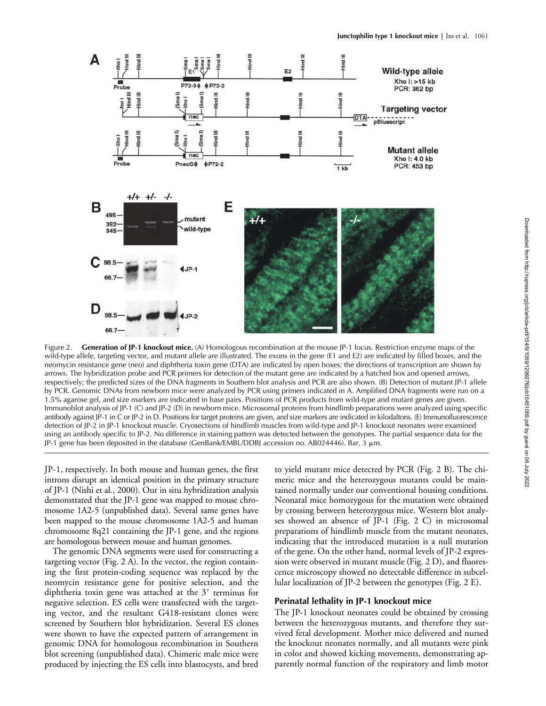

Figure 2. **Generation of JP-1 knockout mice.** (A) Homologous recombination at the mouse JP-1 locus. Restriction enzyme maps of the wild-type allele, targeting vector, and mutant allele are illustrated. The exons in the gene (E1 and E2) are indicated by filled boxes, and the neomycin resistance gene (neo) and diphtheria toxin gene (DTA) are indicated by open boxes; the directions of transcription are shown by arrows. The hybridization probe and PCR primers for detection of the mutant gene are indicated by a hatched box and opened arrows, respectively; the predicted sizes of the DNA fragments in Southern blot analysis and PCR are also shown. (B) Detection of mutant JP-1 allele by PCR. Genomic DNAs from newborn mice were analyzed by PCR using primers indicated in A. Amplified DNA fragments were run on a 1.5% agarose gel, and size markers are indicated in base pairs. Positions of PCR products from wild-type and mutant genes are given. Immunoblot analysis of JP-1 (C) and JP-2 (D) in newborn mice. Microsomal proteins from hindlimb preparations were analyzed using specific antibody against JP-1 in C or JP-2 in D. Positions for target proteins are given, and size markers are indicated in kilodaltons. (E) Immunofluorescence detection of JP-2 in JP-1 knockout muscle. Cryosections of hindlimb muscles from wild-type and JP-1 knockout neonates were examined using an antibody specific to JP-2. No difference in staining pattern was detected between the genotypes. The partial sequence data for the JP-1 gene has been deposited in the database (GenBank/EMBL/DDBJ accession no. AB024446). Bar, 3 m.

JP-1, respectively. In both mouse and human genes, the first introns disrupt an identical position in the primary structure of JP-1 (Nishi et al*.*, 2000). Our in situ hybridization analysis demonstrated that the JP-1 gene was mapped to mouse chromosome 1A2-5 (unpublished data). Several same genes have been mapped to the mouse chromosome 1A2-5 and human chromosome 8q21 containing the JP-1 gene, and the regions are homologous between mouse and human genomes.

The genomic DNA segments were used for constructing a targeting vector (Fig. 2 A). In the vector, the region containing the first protein-coding sequence was replaced by the neomycin resistance gene for positive selection, and the diphtheria toxin gene was attached at the  $3'$  terminus for negative selection. ES cells were transfected with the targeting vector, and the resultant G418-resistant clones were screened by Southern blot hybridization. Several ES clones were shown to have the expected pattern of arrangement in genomic DNA for homologous recombination in Southern blot screening (unpublished data). Chimeric male mice were produced by injecting the ES cells into blastocysts, and bred to yield mutant mice detected by PCR (Fig. 2 B). The chimeric mice and the heterozygous mutants could be maintained normally under our conventional housing conditions. Neonatal mice homozygous for the mutation were obtained by crossing between heterozygous mice. Western blot analyses showed an absence of JP-1 (Fig. 2 C) in microsomal preparations of hindlimb muscle from the mutant neonates, indicating that the introduced mutation is a null mutation of the gene. On the other hand, normal levels of JP-2 expression were observed in mutant muscle (Fig. 2 D), and fluorescence microscopy showed no detectable difference in subcellular localization of JP-2 between the genotypes (Fig. 2 E).

## **Perinatal lethality in JP-1 knockout mice**

The JP-1 knockout neonates could be obtained by crossing between the heterozygous mutants, and therefore they survived fetal development. Mother mice delivered and nursed the knockout neonates normally, and all mutants were pink in color and showed kicking movements, demonstrating apparently normal function of the respiratory and limb motor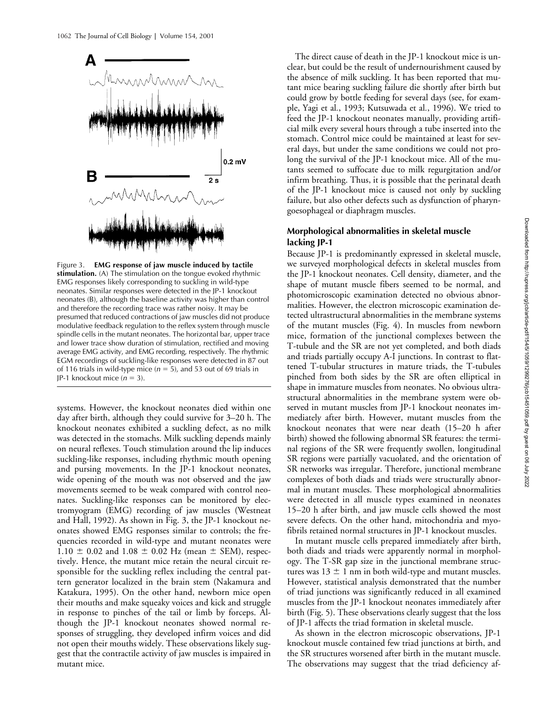

Figure 3. **EMG response of jaw muscle induced by tactile stimulation.** (A) The stimulation on the tongue evoked rhythmic EMG responses likely corresponding to suckling in wild-type neonates. Similar responses were detected in the JP-1 knockout neonates (B), although the baseline activity was higher than control and therefore the recording trace was rather noisy. It may be presumed that reduced contractions of jaw muscles did not produce modulative feedback regulation to the reflex system through muscle spindle cells in the mutant neonates. The horizontal bar, upper trace and lower trace show duration of stimulation, rectified and moving average EMG activity, and EMG recording, respectively. The rhythmic EGM recordings of suckling-like responses were detected in 87 out of 116 trials in wild-type mice  $(n = 5)$ , and 53 out of 69 trials in JP-1 knockout mice  $(n = 3)$ .

systems. However, the knockout neonates died within one day after birth, although they could survive for 3–20 h. The knockout neonates exhibited a suckling defect, as no milk was detected in the stomachs. Milk suckling depends mainly on neural reflexes. Touch stimulation around the lip induces suckling-like responses, including rhythmic mouth opening and pursing movements. In the JP-1 knockout neonates, wide opening of the mouth was not observed and the jaw movements seemed to be weak compared with control neonates. Suckling-like responses can be monitored by electromyogram (EMG) recording of jaw muscles (Westneat and Hall, 1992). As shown in Fig. 3, the JP-1 knockout neonates showed EMG responses similar to controls; the frequencies recorded in wild-type and mutant neonates were  $1.10 \pm 0.02$  and  $1.08 \pm 0.02$  Hz (mean  $\pm$  SEM), respectively. Hence, the mutant mice retain the neural circuit responsible for the suckling reflex including the central pattern generator localized in the brain stem (Nakamura and Katakura, 1995). On the other hand, newborn mice open their mouths and make squeaky voices and kick and struggle in response to pinches of the tail or limb by forceps. Although the JP-1 knockout neonates showed normal responses of struggling, they developed infirm voices and did not open their mouths widely. These observations likely suggest that the contractile activity of jaw muscles is impaired in mutant mice.

The direct cause of death in the JP-1 knockout mice is unclear, but could be the result of undernourishment caused by the absence of milk suckling. It has been reported that mutant mice bearing suckling failure die shortly after birth but could grow by bottle feeding for several days (see, for example, Yagi et al*.*, 1993; Kutsuwada et al*.*, 1996). We tried to feed the JP-1 knockout neonates manually, providing artificial milk every several hours through a tube inserted into the stomach. Control mice could be maintained at least for several days, but under the same conditions we could not prolong the survival of the JP-1 knockout mice. All of the mutants seemed to suffocate due to milk regurgitation and/or infirm breathing. Thus, it is possible that the perinatal death of the JP-1 knockout mice is caused not only by suckling failure, but also other defects such as dysfunction of pharyngoesophageal or diaphragm muscles.

## **Morphological abnormalities in skeletal muscle lacking JP-1**

Because JP-1 is predominantly expressed in skeletal muscle, we surveyed morphological defects in skeletal muscles from the JP-1 knockout neonates. Cell density, diameter, and the shape of mutant muscle fibers seemed to be normal, and photomicroscopic examination detected no obvious abnormalities. However, the electron microscopic examination detected ultrastructural abnormalities in the membrane systems of the mutant muscles (Fig. 4). In muscles from newborn mice, formation of the junctional complexes between the T-tubule and the SR are not yet completed, and both diads and triads partially occupy A-I junctions. In contrast to flattened T-tubular structures in mature triads, the T-tubules pinched from both sides by the SR are often elliptical in shape in immature muscles from neonates. No obvious ultrastructural abnormalities in the membrane system were observed in mutant muscles from JP-1 knockout neonates immediately after birth. However, mutant muscles from the knockout neonates that were near death (15–20 h after birth) showed the following abnormal SR features: the terminal regions of the SR were frequently swollen, longitudinal SR regions were partially vacuolated, and the orientation of SR networks was irregular. Therefore, junctional membrane complexes of both diads and triads were structurally abnormal in mutant muscles. These morphological abnormalities were detected in all muscle types examined in neonates 15–20 h after birth, and jaw muscle cells showed the most severe defects. On the other hand, mitochondria and myofibrils retained normal structures in JP-1 knockout muscles.

In mutant muscle cells prepared immediately after birth, both diads and triads were apparently normal in morphology. The T-SR gap size in the junctional membrane structures was  $13 \pm 1$  nm in both wild-type and mutant muscles. However, statistical analysis demonstrated that the number of triad junctions was significantly reduced in all examined muscles from the JP-1 knockout neonates immediately after birth (Fig. 5). These observations clearly suggest that the loss of JP-1 affects the triad formation in skeletal muscle.

As shown in the electron microscopic observations, JP-1 knockout muscle contained few triad junctions at birth, and the SR structures worsened after birth in the mutant muscle. The observations may suggest that the triad deficiency af-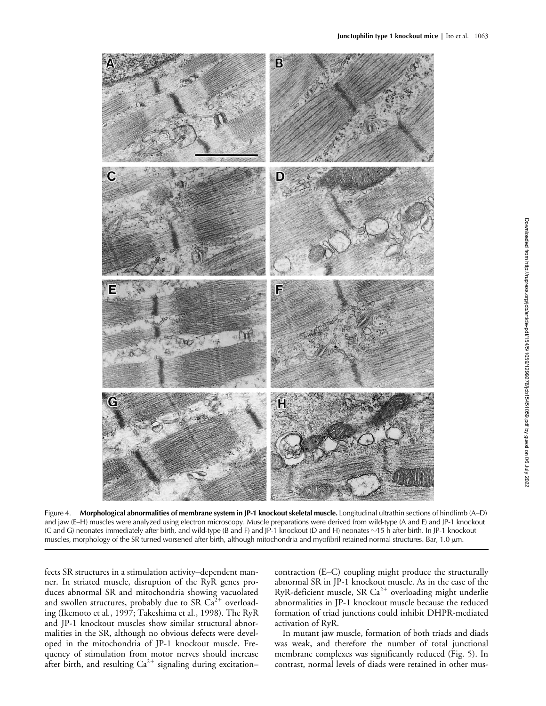

Figure 4. **Morphological abnormalities of membrane system in JP-1 knockout skeletal muscle.** Longitudinal ultrathin sections of hindlimb (A–D) and jaw (E–H) muscles were analyzed using electron microscopy. Muscle preparations were derived from wild-type (A and E) and JP-1 knockout (C and G) neonates immediately after birth, and wild-type (B and F) and JP-1 knockout (D and H) neonates -15 h after birth. In JP-1 knockout muscles, morphology of the SR turned worsened after birth, although mitochondria and myofibril retained normal structures. Bar, 1.0  $\mu$ m.

fects SR structures in a stimulation activity–dependent manner. In striated muscle, disruption of the RyR genes produces abnormal SR and mitochondria showing vacuolated and swollen structures, probably due to SR  $\text{Ca}^{2+}$  overloading (Ikemoto et al*.*, 1997; Takeshima et al*.*, 1998). The RyR and JP-1 knockout muscles show similar structural abnormalities in the SR, although no obvious defects were developed in the mitochondria of JP-1 knockout muscle. Frequency of stimulation from motor nerves should increase after birth, and resulting  $Ca^{2+}$  signaling during excitation–

contraction (E–C) coupling might produce the structurally abnormal SR in JP-1 knockout muscle. As in the case of the RyR-deficient muscle, SR  $Ca^{2+}$  overloading might underlie abnormalities in JP-1 knockout muscle because the reduced formation of triad junctions could inhibit DHPR-mediated activation of RyR.

In mutant jaw muscle, formation of both triads and diads was weak, and therefore the number of total junctional membrane complexes was significantly reduced (Fig. 5). In contrast, normal levels of diads were retained in other mus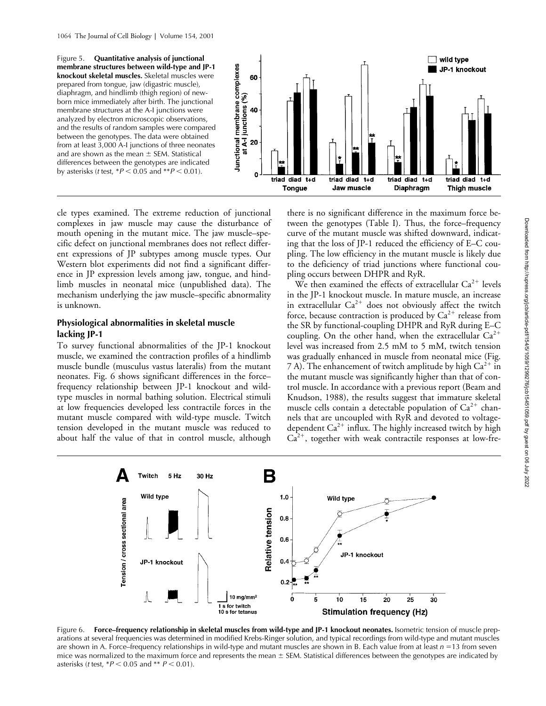Figure 5. **Quantitative analysis of junctional membrane structures between wild-type and JP-1 knockout skeletal muscles.** Skeletal muscles were prepared from tongue, jaw (digastric muscle), diaphragm, and hindlimb (thigh region) of newborn mice immediately after birth. The junctional membrane structures at the A-I junctions were analyzed by electron microscopic observations, and the results of random samples were compared between the genotypes. The data were obtained from at least 3,000 A-I junctions of three neonates and are shown as the mean  $\pm$  SEM. Statistical differences between the genotypes are indicated by asterisks (*t* test,  $*P < 0.05$  and  $*P < 0.01$ ).



cle types examined. The extreme reduction of junctional complexes in jaw muscle may cause the disturbance of mouth opening in the mutant mice. The jaw muscle–specific defect on junctional membranes does not reflect different expressions of JP subtypes among muscle types. Our Western blot experiments did not find a significant difference in JP expression levels among jaw, tongue, and hindlimb muscles in neonatal mice (unpublished data). The mechanism underlying the jaw muscle–specific abnormality is unknown.

## **Physiological abnormalities in skeletal muscle lacking JP-1**

To survey functional abnormalities of the JP-1 knockout muscle, we examined the contraction profiles of a hindlimb muscle bundle (musculus vastus lateralis) from the mutant neonates. Fig. 6 shows significant differences in the force– frequency relationship between JP-1 knockout and wildtype muscles in normal bathing solution. Electrical stimuli at low frequencies developed less contractile forces in the mutant muscle compared with wild-type muscle. Twitch tension developed in the mutant muscle was reduced to about half the value of that in control muscle, although

there is no significant difference in the maximum force between the genotypes (Table I). Thus, the force–frequency curve of the mutant muscle was shifted downward, indicating that the loss of JP-1 reduced the efficiency of E–C coupling. The low efficiency in the mutant muscle is likely due to the deficiency of triad junctions where functional coupling occurs between DHPR and RyR.

We then examined the effects of extracellular  $Ca^{2+}$  levels in the JP-1 knockout muscle. In mature muscle, an increase in extracellular  $Ca^{2+}$  does not obviously affect the twitch force, because contraction is produced by  $Ca^{2+}$  release from the SR by functional-coupling DHPR and RyR during E–C coupling. On the other hand, when the extracellular  $Ca^{2+}$ level was increased from 2.5 mM to 5 mM, twitch tension was gradually enhanced in muscle from neonatal mice (Fig. 7 A). The enhancement of twitch amplitude by high  $Ca^{2+}$  in the mutant muscle was significantly higher than that of control muscle. In accordance with a previous report (Beam and Knudson, 1988), the results suggest that immature skeletal muscle cells contain a detectable population of  $Ca^{2+}$  channels that are uncoupled with RyR and devoted to voltagedependent  $Ca^{2+}$  influx. The highly increased twitch by high  $Ca<sup>2+</sup>$ , together with weak contractile responses at low-fre-



Figure 6. Force-frequency relationship in skeletal muscles from wild-type and JP-1 knockout neonates. Isometric tension of muscle preparations at several frequencies was determined in modified Krebs-Ringer solution, and typical recordings from wild-type and mutant muscles are shown in A. Force–frequency relationships in wild-type and mutant muscles are shown in B. Each value from at least  $n = 13$  from seven mice was normalized to the maximum force and represents the mean  $\pm$  SEM. Statistical differences between the genotypes are indicated by asterisks (*t* test,  $*P < 0.05$  and  $*P < 0.01$ ).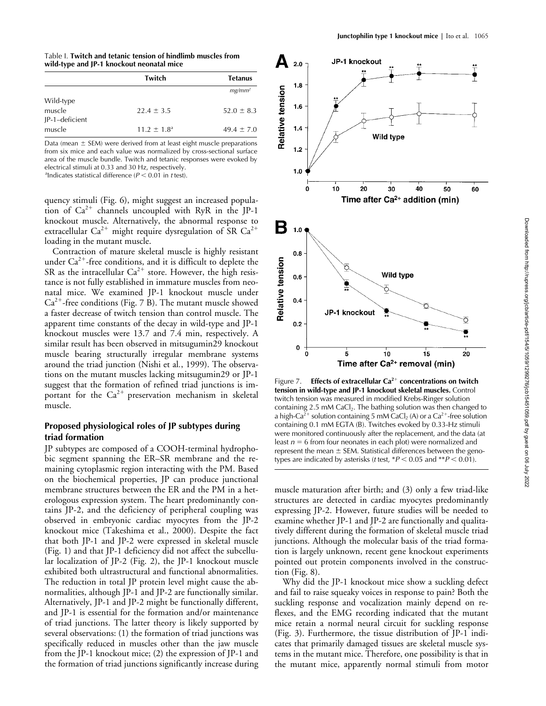Table I. **Twitch and tetanic tension of hindlimb muscles from wild-type and JP-1 knockout neonatal mice**

|                          | Twitch                 | <b>Tetanus</b> |
|--------------------------|------------------------|----------------|
|                          |                        | $mg/mm^2$      |
| Wild-type<br>muscle      | $22.4 \pm 3.5$         | $52.0 \pm 8.3$ |
| JP-1-deficient<br>muscle | $11.2 \pm 1.8^{\circ}$ | $49.4 \pm 7.0$ |

Data (mean  $\pm$  SEM) were derived from at least eight muscle preparations from six mice and each value was normalized by cross-sectional surface area of the muscle bundle. Twitch and tetanic responses were evoked by electrical stimuli at 0.33 and 30 Hz, respectively.

<sup>a</sup>lndicates statistical difference  $(P < 0.01$  in *t* test).

quency stimuli (Fig. 6), might suggest an increased population of  $Ca^{2+}$  channels uncoupled with RyR in the JP-1 knockout muscle. Alternatively, the abnormal response to extracellular Ca<sup>2+</sup> might require dysregulation of SR Ca<sup>2+</sup> loading in the mutant muscle.

Contraction of mature skeletal muscle is highly resistant under  $Ca^{2+}$ -free conditions, and it is difficult to deplete the SR as the intracellular  $Ca^{2+}$  store. However, the high resistance is not fully established in immature muscles from neonatal mice. We examined JP-1 knockout muscle under  $Ca^{2+}$ -free conditions (Fig. 7 B). The mutant muscle showed a faster decrease of twitch tension than control muscle. The apparent time constants of the decay in wild-type and JP-1 knockout muscles were 13.7 and 7.4 min, respectively. A similar result has been observed in mitsugumin29 knockout muscle bearing structurally irregular membrane systems around the triad junction (Nishi et al*.*, 1999). The observations on the mutant muscles lacking mitsugumin29 or JP-1 suggest that the formation of refined triad junctions is important for the  $Ca^{2+}$  preservation mechanism in skeletal muscle.

## **Proposed physiological roles of JP subtypes during triad formation**

JP subtypes are composed of a COOH-terminal hydrophobic segment spanning the ER–SR membrane and the remaining cytoplasmic region interacting with the PM. Based on the biochemical properties, JP can produce junctional membrane structures between the ER and the PM in a heterologous expression system. The heart predominantly contains JP-2, and the deficiency of peripheral coupling was observed in embryonic cardiac myocytes from the JP-2 knockout mice (Takeshima et al., 2000). Despite the fact that both JP-1 and JP-2 were expressed in skeletal muscle (Fig. 1) and that JP-1 deficiency did not affect the subcellular localization of JP-2 (Fig. 2), the JP-1 knockout muscle exhibited both ultrastructural and functional abnormalities. The reduction in total JP protein level might cause the abnormalities, although JP-1 and JP-2 are functionally similar. Alternatively, JP-1 and JP-2 might be functionally different, and JP-1 is essential for the formation and/or maintenance of triad junctions. The latter theory is likely supported by several observations: (1) the formation of triad junctions was specifically reduced in muscles other than the jaw muscle from the JP-1 knockout mice; (2) the expression of JP-1 and the formation of triad junctions significantly increase during



Figure 7. **Effects of extracellular Ca<sup>2+</sup> concentrations on twitch tension in wild-type and JP-1 knockout skeletal muscles.** Control twitch tension was measured in modified Krebs-Ringer solution containing 2.5 mM  $CaCl<sub>2</sub>$ . The bathing solution was then changed to a high-Ca<sup>2+</sup> solution containing 5 mM CaCl<sub>2</sub> (A) or a Ca<sup>2+</sup>-free solution containing 0.1 mM EGTA (B). Twitches evoked by 0.33-Hz stimuli were monitored continuously after the replacement, and the data (at least  $n = 6$  from four neonates in each plot) were normalized and represent the mean  $\pm$  SEM. Statistical differences between the genotypes are indicated by asterisks (*t* test,  $*P < 0.05$  and  $*P < 0.01$ ).

muscle maturation after birth; and (3) only a few triad-like structures are detected in cardiac myocytes predominantly expressing JP-2. However, future studies will be needed to examine whether JP-1 and JP-2 are functionally and qualitatively different during the formation of skeletal muscle triad junctions. Although the molecular basis of the triad formation is largely unknown, recent gene knockout experiments pointed out protein components involved in the construction (Fig. 8).

Why did the JP-1 knockout mice show a suckling defect and fail to raise squeaky voices in response to pain? Both the suckling response and vocalization mainly depend on reflexes, and the EMG recording indicated that the mutant mice retain a normal neural circuit for suckling response (Fig. 3). Furthermore, the tissue distribution of JP-1 indicates that primarily damaged tissues are skeletal muscle systems in the mutant mice. Therefore, one possibility is that in the mutant mice, apparently normal stimuli from motor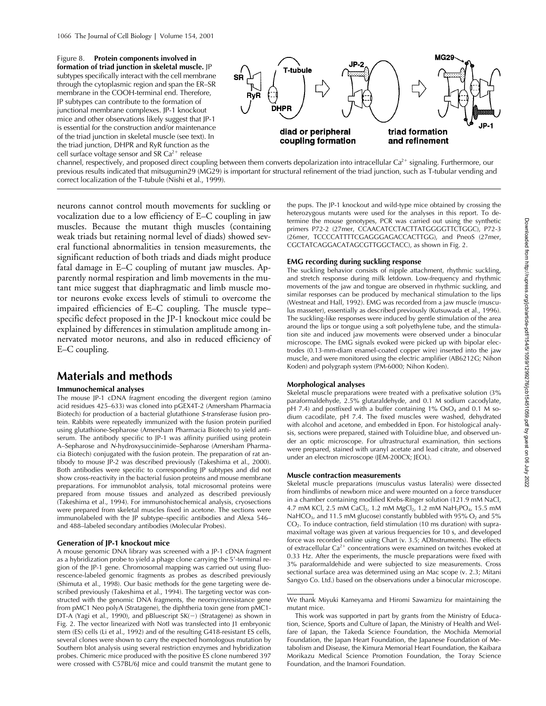Figure 8. **Protein components involved in formation of triad junction in skeletal muscle.** JP subtypes specifically interact with the cell membrane through the cytoplasmic region and span the ER–SR membrane in the COOH-terminal end. Therefore, JP subtypes can contribute to the formation of junctional membrane complexes. JP-1 knockout mice and other observations likely suggest that JP-1 is essential for the construction and/or maintenance of the triad junction in skeletal muscle (see text). In the triad junction, DHPR and RyR function as the cell surface voltage sensor and SR  $Ca<sup>2+</sup>$  release



channel, respectively, and proposed direct coupling between them converts depolarization into intracellular Ca<sup>2+</sup> signaling. Furthermore, our previous results indicated that mitsugumin29 (MG29) is important for structural refinement of the triad junction, such as T-tubular vending and correct localization of the T-tubule (Nishi et al*.*, 1999).

neurons cannot control mouth movements for suckling or vocalization due to a low efficiency of E–C coupling in jaw muscles. Because the mutant thigh muscles (containing weak triads but retaining normal level of diads) showed several functional abnormalities in tension measurements, the significant reduction of both triads and diads might produce fatal damage in E–C coupling of mutant jaw muscles. Apparently normal respiration and limb movements in the mutant mice suggest that diaphragmatic and limb muscle motor neurons evoke excess levels of stimuli to overcome the impaired efficiencies of E–C coupling. The muscle type– specific defect proposed in the JP-1 knockout mice could be explained by differences in stimulation amplitude among innervated motor neurons, and also in reduced efficiency of E–C coupling.

# **Materials and methods**

### **Immunochemical analyses**

The mouse JP-1 cDNA fragment encoding the divergent region (amino acid residues 425–633) was cloned into pGEX4T-2 (Amersham Pharmacia Biotech) for production of a bacterial glutathione *S*-transferase fusion protein. Rabbits were repeatedly immunized with the fusion protein purified using glutathione-Sepharose (Amersham Pharmacia Biotech) to yield antiserum. The antibody specific to JP-1 was affinity purified using protein A–Sepharose and *N*-hydroxysuccinimide–Sepharose (Amersham Pharmacia Biotech) conjugated with the fusion protein. The preparation of rat antibody to mouse JP-2 was described previously (Takeshima et al*.*, 2000). Both antibodies were specific to corresponding JP subtypes and did not show cross-reactivity in the bacterial fusion proteins and mouse membrane preparations. For immunoblot analysis, total microsomal proteins were prepared from mouse tissues and analyzed as described previously (Takeshima et al*.*, 1994). For immunohistochemical analysis, cryosections were prepared from skeletal muscles fixed in acetone. The sections were immunolabeled with the JP subtype–specific antibodies and Alexa 546– and 488–labeled secondary antibodies (Molecular Probes).

#### **Generation of JP-1 knockout mice**

A mouse genomic DNA library was screened with a JP-1 cDNA fragment as a hybridization probe to yield a phage clone carrying the 5'-terminal region of the JP-1 gene. Chromosomal mapping was carried out using fluorescence-labeled genomic fragments as probes as described previously (Shimuta et al*.*, 1998). Our basic methods for the gene targeting were described previously (Takeshima et al*.*, 1994). The targeting vector was constructed with the genomic DNA fragments, the neomycinresistance gene from pMC1 Neo polyA (Stratagene), the diphtheria toxin gene from pMC1- DT-A (Yagi et al., 1990), and pBluescript SK(-) (Stratagene) as shown in Fig. 2. The vector linearized with NotI was transfected into J1 embryonic stem (ES) cells (Li et al*.*, 1992) and of the resulting G418-resistant ES cells, several clones were shown to carry the expected homologous mutation by Southern blot analysis using several restriction enzymes and hybridization probes. Chimeric mice produced with the positive ES clone numbered 397 were crossed with C57BL/6J mice and could transmit the mutant gene to

the pups. The JP-1 knockout and wild-type mice obtained by crossing the heterozygous mutants were used for the analyses in this report. To determine the mouse genotypes, PCR was carried out using the synthetic primers P72-2 (27mer, CCAACATCCTACTTATGGGGTTCTGGC), P72-3 (26mer, TCCCCATTTTCGAGGGAGACCACTTGG), and PneoS (27mer, CGCTATCAGGACATAGCGTTGGCTACC), as shown in Fig. 2.

## **EMG recording during suckling response**

The suckling behavior consists of nipple attachment, rhythmic suckling, and stretch response during milk letdown. Low-frequency and rhythmic movements of the jaw and tongue are observed in rhythmic suckling, and similar responses can be produced by mechanical stimulation to the lips (Westneat and Hall, 1992). EMG was recorded from a jaw muscle (musculus masseter), essentially as described previously (Kutsuwada et al*.*, 1996). The suckling-like responses were induced by gentle stimulation of the area around the lips or tongue using a soft polyethylene tube, and the stimulation site and induced jaw movements were observed under a binocular microscope. The EMG signals evoked were picked up with bipolar electrodes (0.13-mm-diam enamel-coated copper wire) inserted into the jaw muscle, and were monitored using the electric amplifier (AB6212G; Nihon Koden) and polygraph system (PM-6000; Nihon Koden).

#### **Morphological analyses**

Skeletal muscle preparations were treated with a prefixative solution (3% paraformaldehyde, 2.5% glutaraldehyde, and 0.1 M sodium cacodylate, pH 7.4) and postfixed with a buffer containing 1% OsO<sub>4</sub> and 0.1 M sodium cacodilate, pH 7.4. The fixed muscles were washed, dehydrated with alcohol and acetone, and embedded in Epon. For histological analysis, sections were prepared, stained with Toluidine blue, and observed under an optic microscope. For ultrastructural examination, thin sections were prepared, stained with uranyl acetate and lead citrate, and observed under an electron microscope (JEM-200CX; JEOL).

#### **Muscle contraction measurements**

Skeletal muscle preparations (musculus vastus lateralis) were dissected from hindlimbs of newborn mice and were mounted on a force transducer in a chamber containing modified Krebs-Ringer solution (121.9 mM NaCl, 4.7 mM KCl, 2.5 mM CaCl<sub>2</sub>, 1.2 mM MgCl<sub>2</sub>, 1.2 mM NaH<sub>2</sub>PO<sub>4</sub>, 15.5 mM NaHCO<sub>3</sub>, and 11.5 mM glucose) constantly bubbled with 95%  $O_2$  and 5%  $CO<sub>2</sub>$ . To induce contraction, field stimulation (10 ms duration) with supramaximal voltage was given at various frequencies for 10 s, and developed force was recorded online using Chart (v. 3.5; ADInstruments). The effects of extracellular Ca<sup>2+</sup> concentrations were examined on twitches evoked at 0.33 Hz. After the experiments, the muscle preparations were fixed with 3% paraformaldehide and were subjected to size measurements. Cross sectional surface area was determined using an Mac scope (v. 2.3; Mitani Sangyo Co. Ltd.) based on the observations under a binocular microscope.

We thank Miyuki Kameyama and Hiromi Sawamizu for maintaining the mutant mice.

This work was supported in part by grants from the Ministry of Education, Science, Sports and Culture of Japan, the Ministry of Health and Welfare of Japan, the Takeda Science Foundation, the Mochida Memorial Foundation, the Japan Heart Foundation, the Japanese Foundation of Metabolism and Disease, the Kimura Memorial Heart Foundation, the Kaibara Morikazu Medical Science Promotion Foundation, the Toray Science Foundation, and the Inamori Foundation.